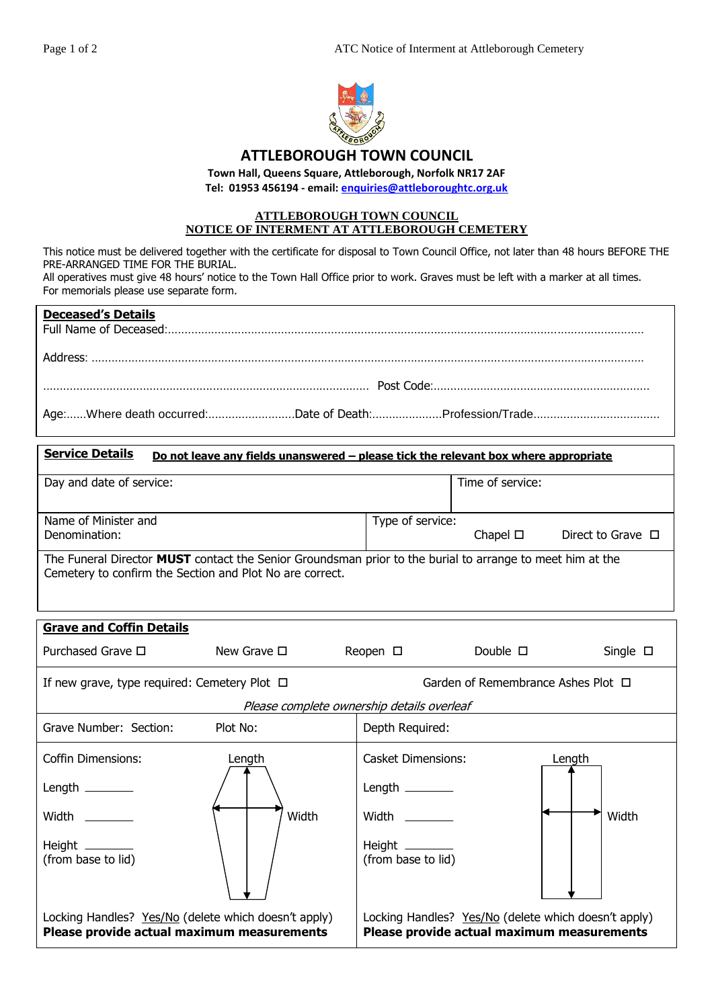

## **ATTLEBOROUGH TOWN COUNCIL**

**Town Hall, Queens Square, Attleborough, Norfolk NR17 2AF Tel: 01953 456194 - email: [enquiries@attleboroughtc.org.uk](mailto:enquiries@attleboroughtc.org.uk)**

## **ATTLEBOROUGH TOWN COUNCIL NOTICE OF INTERMENT AT ATTLEBOROUGH CEMETERY**

This notice must be delivered together with the certificate for disposal to Town Council Office, not later than 48 hours BEFORE THE PRE-ARRANGED TIME FOR THE BURIAL.

All operatives must give 48 hours' notice to the Town Hall Office prior to work. Graves must be left with a marker at all times. For memorials please use separate form.

| <b>Deceased's Details</b> |  |
|---------------------------|--|
|                           |  |
|                           |  |
|                           |  |

| <b>Service Details</b><br><u>Do not leave any fields unanswered – please tick the relevant box where appropriate</u>                                                  |                  |                  |                        |
|-----------------------------------------------------------------------------------------------------------------------------------------------------------------------|------------------|------------------|------------------------|
| Day and date of service:                                                                                                                                              |                  | Time of service: |                        |
| Name of Minister and<br>Denomination:                                                                                                                                 | Type of service: | Chapel $\square$ | Direct to Grave $\Box$ |
| The Funeral Director MUST contact the Senior Groundsman prior to the burial to arrange to meet him at the<br>Cemetery to confirm the Section and Plot No are correct. |                  |                  |                        |

| <b>Grave and Coffin Details</b>                                                                    |                  |                                       |                                                                                                    |                  |
|----------------------------------------------------------------------------------------------------|------------------|---------------------------------------|----------------------------------------------------------------------------------------------------|------------------|
| Purchased Grave $\Box$                                                                             | New Grave $\Box$ | Reopen $\square$                      | Double $\square$                                                                                   | Single $\square$ |
| If new grave, type required: Cemetery Plot $\Box$                                                  |                  |                                       | Garden of Remembrance Ashes Plot $\Box$                                                            |                  |
| Please complete ownership details overleaf                                                         |                  |                                       |                                                                                                    |                  |
| Grave Number: Section:                                                                             | Plot No:         | Depth Required:                       |                                                                                                    |                  |
| Coffin Dimensions:                                                                                 | Length           | <b>Casket Dimensions:</b>             | Length                                                                                             |                  |
| Length $\_\_\_\_\_\_\_\_\_\_\_\_$                                                                  |                  | Length $\_\_\_\_\_\_\_\_\_\_\$        |                                                                                                    |                  |
| <b>Width</b> Middle                                                                                | Width            | Width __________                      |                                                                                                    | Width            |
| Height $\_\_\_\_\_\_\_\_\_\_\_\$<br>(from base to lid)                                             |                  | Height ________<br>(from base to lid) |                                                                                                    |                  |
| Locking Handles? Yes/No (delete which doesn't apply)<br>Please provide actual maximum measurements |                  |                                       | Locking Handles? Yes/No (delete which doesn't apply)<br>Please provide actual maximum measurements |                  |